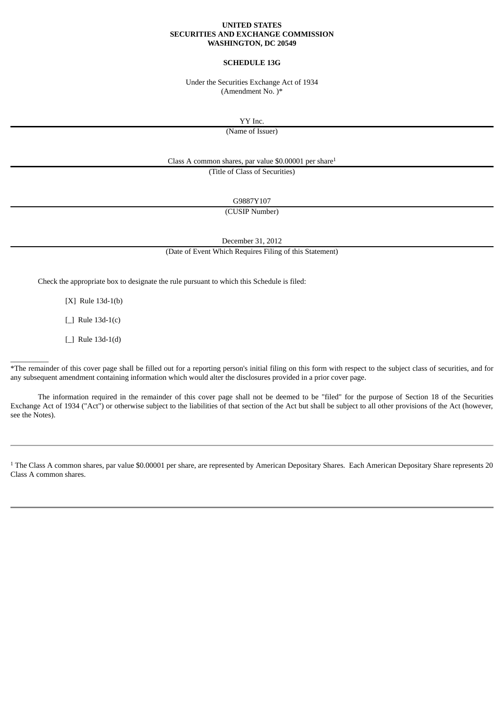#### **UNITED STATES SECURITIES AND EXCHANGE COMMISSION WASHINGTON, DC 20549**

#### **SCHEDULE 13G**

Under the Securities Exchange Act of 1934 (Amendment No. )\*

YY Inc.

(Name of Issuer)

Class A common shares, par value \$0.00001 per share 1

(Title of Class of Securities)

G9887Y107

(CUSIP Number)

December 31, 2012

(Date of Event Which Requires Filing of this Statement)

Check the appropriate box to designate the rule pursuant to which this Schedule is filed:

[X] Rule 13d-1(b)

[ ] Rule 13d-1(c)

[\_] Rule 13d-1(d)

 $\overline{\phantom{a}}$   $\overline{\phantom{a}}$ 

\*The remainder of this cover page shall be filled out for a reporting person's initial filing on this form with respect to the subject class of securities, and for any subsequent amendment containing information which would alter the disclosures provided in a prior cover page.

The information required in the remainder of this cover page shall not be deemed to be "filed" for the purpose of Section 18 of the Securities Exchange Act of 1934 ("Act") or otherwise subject to the liabilities of that section of the Act but shall be subject to all other provisions of the Act (however, see the Notes).

<sup>1</sup> The Class A common shares, par value \$0.00001 per share, are represented by American Depositary Shares. Each American Depositary Share represents 20 Class A common shares.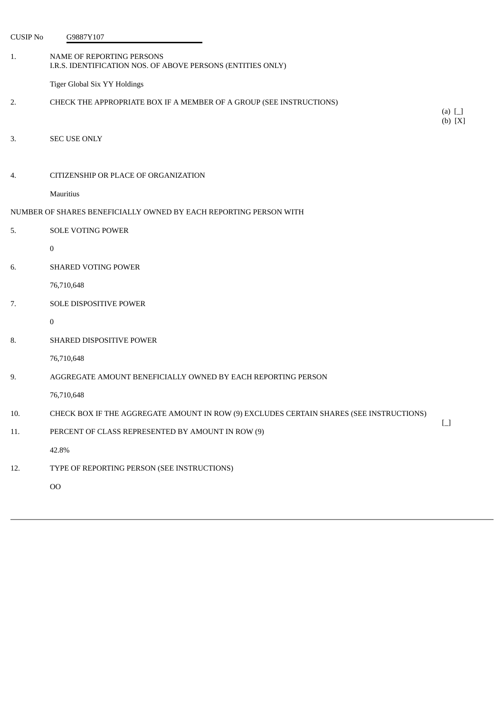| <b>CUSIP No</b> | G9887Y107                                                                                |                                        |
|-----------------|------------------------------------------------------------------------------------------|----------------------------------------|
| 1.              | NAME OF REPORTING PERSONS<br>I.R.S. IDENTIFICATION NOS. OF ABOVE PERSONS (ENTITIES ONLY) |                                        |
|                 | Tiger Global Six YY Holdings                                                             |                                        |
| 2.              | CHECK THE APPROPRIATE BOX IF A MEMBER OF A GROUP (SEE INSTRUCTIONS)                      | (a) $\Box$<br>(b) [X]                  |
| 3.              | <b>SEC USE ONLY</b>                                                                      |                                        |
| 4.              | CITIZENSHIP OR PLACE OF ORGANIZATION                                                     |                                        |
|                 | Mauritius                                                                                |                                        |
|                 | NUMBER OF SHARES BENEFICIALLY OWNED BY EACH REPORTING PERSON WITH                        |                                        |
| 5.              | <b>SOLE VOTING POWER</b>                                                                 |                                        |
|                 | $\bf{0}$                                                                                 |                                        |
| 6.              | <b>SHARED VOTING POWER</b>                                                               |                                        |
|                 | 76,710,648                                                                               |                                        |
| 7.              | SOLE DISPOSITIVE POWER                                                                   |                                        |
|                 | $\boldsymbol{0}$                                                                         |                                        |
| 8.              | SHARED DISPOSITIVE POWER                                                                 |                                        |
|                 | 76,710,648                                                                               |                                        |
| 9.              | AGGREGATE AMOUNT BENEFICIALLY OWNED BY EACH REPORTING PERSON                             |                                        |
|                 | 76,710,648                                                                               |                                        |
| 10.             | CHECK BOX IF THE AGGREGATE AMOUNT IN ROW (9) EXCLUDES CERTAIN SHARES (SEE INSTRUCTIONS)  |                                        |
| 11.             | PERCENT OF CLASS REPRESENTED BY AMOUNT IN ROW (9)                                        | $\begin{bmatrix} 1 \\ 1 \end{bmatrix}$ |
|                 | 42.8%                                                                                    |                                        |
| 12.             | TYPE OF REPORTING PERSON (SEE INSTRUCTIONS)                                              |                                        |
|                 | $_{\rm OO}$                                                                              |                                        |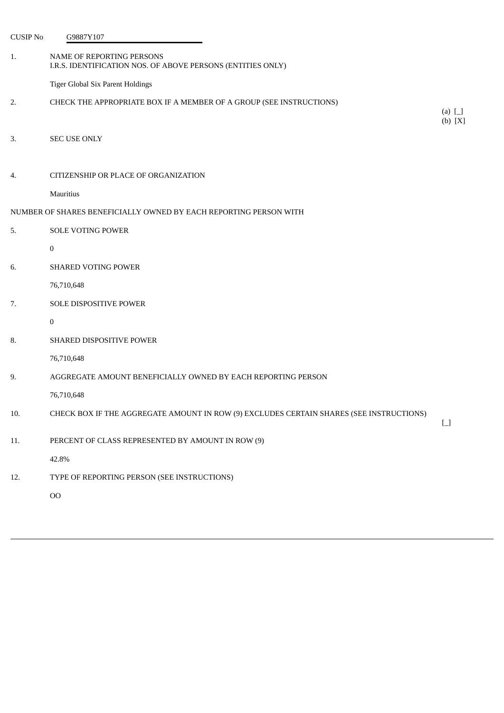| <b>CUSIP No</b>                                                   | G9887Y107                                                                                |                                        |  |
|-------------------------------------------------------------------|------------------------------------------------------------------------------------------|----------------------------------------|--|
| 1.                                                                | NAME OF REPORTING PERSONS<br>I.R.S. IDENTIFICATION NOS. OF ABOVE PERSONS (ENTITIES ONLY) |                                        |  |
|                                                                   | Tiger Global Six Parent Holdings                                                         |                                        |  |
| 2.                                                                | CHECK THE APPROPRIATE BOX IF A MEMBER OF A GROUP (SEE INSTRUCTIONS)                      | (a) $\Box$<br>(b) [X]                  |  |
| 3.                                                                | SEC USE ONLY                                                                             |                                        |  |
| 4.                                                                | CITIZENSHIP OR PLACE OF ORGANIZATION                                                     |                                        |  |
|                                                                   | Mauritius                                                                                |                                        |  |
| NUMBER OF SHARES BENEFICIALLY OWNED BY EACH REPORTING PERSON WITH |                                                                                          |                                        |  |
| 5.                                                                | <b>SOLE VOTING POWER</b>                                                                 |                                        |  |
|                                                                   | $\boldsymbol{0}$                                                                         |                                        |  |
| 6.                                                                | <b>SHARED VOTING POWER</b>                                                               |                                        |  |
|                                                                   | 76,710,648                                                                               |                                        |  |
| 7.                                                                | SOLE DISPOSITIVE POWER                                                                   |                                        |  |
|                                                                   | $\bf{0}$                                                                                 |                                        |  |
| 8.                                                                | <b>SHARED DISPOSITIVE POWER</b>                                                          |                                        |  |
|                                                                   | 76,710,648                                                                               |                                        |  |
| 9.                                                                | AGGREGATE AMOUNT BENEFICIALLY OWNED BY EACH REPORTING PERSON                             |                                        |  |
|                                                                   | 76,710,648                                                                               |                                        |  |
| 10.                                                               | CHECK BOX IF THE AGGREGATE AMOUNT IN ROW (9) EXCLUDES CERTAIN SHARES (SEE INSTRUCTIONS)  | $\begin{bmatrix} 1 \\ 1 \end{bmatrix}$ |  |
| 11.                                                               | PERCENT OF CLASS REPRESENTED BY AMOUNT IN ROW (9)                                        |                                        |  |
|                                                                   | 42.8%                                                                                    |                                        |  |
| 12.                                                               | TYPE OF REPORTING PERSON (SEE INSTRUCTIONS)                                              |                                        |  |
|                                                                   | O <sub>O</sub>                                                                           |                                        |  |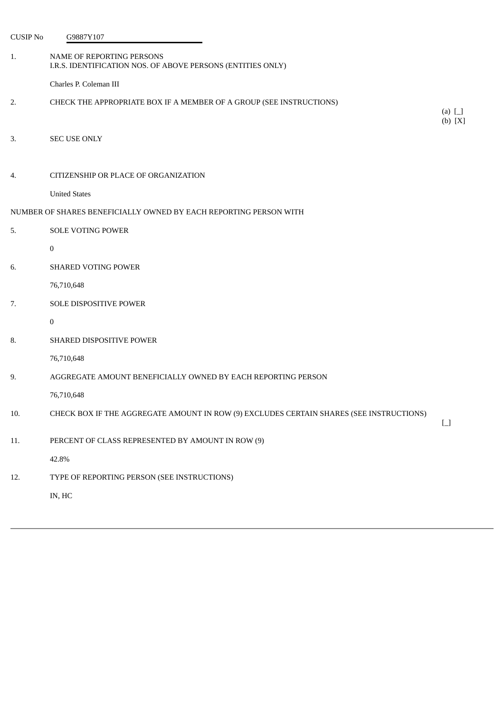| <b>CUSIP No</b> | G9887Y107                                                                                |                                        |
|-----------------|------------------------------------------------------------------------------------------|----------------------------------------|
| 1.              | NAME OF REPORTING PERSONS<br>I.R.S. IDENTIFICATION NOS. OF ABOVE PERSONS (ENTITIES ONLY) |                                        |
|                 | Charles P. Coleman III                                                                   |                                        |
| 2.              | CHECK THE APPROPRIATE BOX IF A MEMBER OF A GROUP (SEE INSTRUCTIONS)                      | (a) $\Box$<br>(b) [X]                  |
| 3.              | <b>SEC USE ONLY</b>                                                                      |                                        |
| 4.              | CITIZENSHIP OR PLACE OF ORGANIZATION                                                     |                                        |
|                 | <b>United States</b>                                                                     |                                        |
|                 | NUMBER OF SHARES BENEFICIALLY OWNED BY EACH REPORTING PERSON WITH                        |                                        |
| 5.              | <b>SOLE VOTING POWER</b>                                                                 |                                        |
|                 | $\mathbf{0}$                                                                             |                                        |
| 6.              | <b>SHARED VOTING POWER</b>                                                               |                                        |
|                 | 76,710,648                                                                               |                                        |
| 7.              | SOLE DISPOSITIVE POWER                                                                   |                                        |
|                 | 0                                                                                        |                                        |
| 8.              | SHARED DISPOSITIVE POWER                                                                 |                                        |
|                 | 76,710,648                                                                               |                                        |
| 9.              | AGGREGATE AMOUNT BENEFICIALLY OWNED BY EACH REPORTING PERSON                             |                                        |
|                 | 76,710,648                                                                               |                                        |
| 10.             | CHECK BOX IF THE AGGREGATE AMOUNT IN ROW (9) EXCLUDES CERTAIN SHARES (SEE INSTRUCTIONS)  | $\begin{array}{c} \square \end{array}$ |
| 11.             | PERCENT OF CLASS REPRESENTED BY AMOUNT IN ROW (9)                                        |                                        |
|                 | 42.8%                                                                                    |                                        |
| 12.             | TYPE OF REPORTING PERSON (SEE INSTRUCTIONS)                                              |                                        |
|                 | IN, HC                                                                                   |                                        |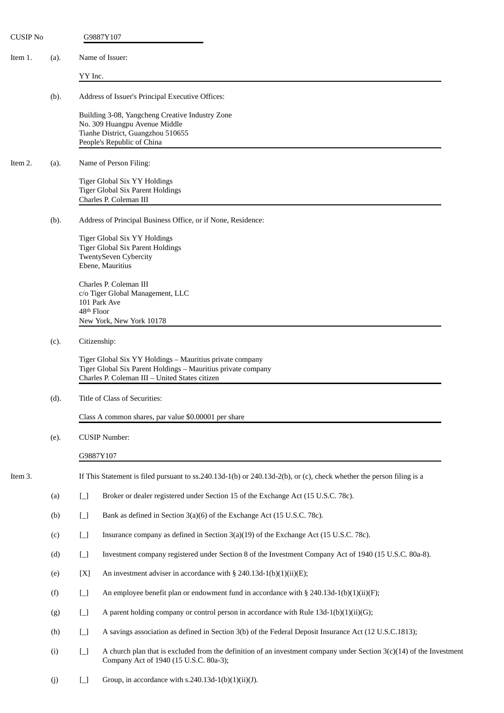| <b>CUSIP No</b> |      | G9887Y107                                                                                                                                                                  |
|-----------------|------|----------------------------------------------------------------------------------------------------------------------------------------------------------------------------|
| Item 1.         | (a). | Name of Issuer:                                                                                                                                                            |
|                 |      | YY Inc.                                                                                                                                                                    |
|                 | (b). | Address of Issuer's Principal Executive Offices:                                                                                                                           |
|                 |      | Building 3-08, Yangcheng Creative Industry Zone<br>No. 309 Huangpu Avenue Middle<br>Tianhe District, Guangzhou 510655<br>People's Republic of China                        |
| Item 2.         | (a). | Name of Person Filing:                                                                                                                                                     |
|                 |      | Tiger Global Six YY Holdings<br><b>Tiger Global Six Parent Holdings</b><br>Charles P. Coleman III                                                                          |
|                 | (b). | Address of Principal Business Office, or if None, Residence:                                                                                                               |
|                 |      | Tiger Global Six YY Holdings<br>Tiger Global Six Parent Holdings<br><b>TwentySeven Cybercity</b><br>Ebene, Mauritius                                                       |
|                 |      | Charles P. Coleman III<br>c/o Tiger Global Management, LLC<br>101 Park Ave<br>48 <sup>th</sup> Floor<br>New York, New York 10178                                           |
|                 | (c). | Citizenship:                                                                                                                                                               |
|                 |      | Tiger Global Six YY Holdings - Mauritius private company<br>Tiger Global Six Parent Holdings - Mauritius private company<br>Charles P. Coleman III - United States citizen |
|                 | (d). | Title of Class of Securities:                                                                                                                                              |
|                 |      | Class A common shares, par value \$0.00001 per share                                                                                                                       |
|                 | (e). | <b>CUSIP Number:</b>                                                                                                                                                       |
|                 |      | G9887Y107                                                                                                                                                                  |
| Item 3.         |      | If This Statement is filed pursuant to ss.240.13d-1(b) or 240.13d-2(b), or (c), check whether the person filing is a                                                       |
|                 | (a)  | $\boxed{\phantom{1}}$<br>Broker or dealer registered under Section 15 of the Exchange Act (15 U.S.C. 78c).                                                                 |
|                 | (b)  | $\Box$<br>Bank as defined in Section 3(a)(6) of the Exchange Act (15 U.S.C. 78c).                                                                                          |
|                 | (c)  | $\Box$<br>Insurance company as defined in Section 3(a)(19) of the Exchange Act (15 U.S.C. 78c).                                                                            |
|                 | (d)  | $\Box$<br>Investment company registered under Section 8 of the Investment Company Act of 1940 (15 U.S.C. 80a-8).                                                           |
|                 | (e)  | [X]<br>An investment adviser in accordance with § 240.13d-1(b)(1)(ii)(E);                                                                                                  |
|                 | (f)  | $\begin{bmatrix} 1 \\ 1 \end{bmatrix}$<br>An employee benefit plan or endowment fund in accordance with $\S$ 240.13d-1(b)(1)(ii)(F);                                       |
|                 | (g)  | $\begin{bmatrix} 1 \\ 1 \end{bmatrix}$<br>A parent holding company or control person in accordance with Rule $13d-1(b)(1)(ii)(G)$ ;                                        |
|                 | (h)  | A savings association as defined in Section 3(b) of the Federal Deposit Insurance Act (12 U.S.C.1813);<br>$\Box$                                                           |
|                 | (i)  | A church plan that is excluded from the definition of an investment company under Section $3(c)(14)$ of the Investment<br>$\Box$<br>Company Act of 1940 (15 U.S.C. 80a-3); |
|                 | (j)  | Group, in accordance with s.240.13d-1(b)(1)(ii)(J).<br>$\Box$                                                                                                              |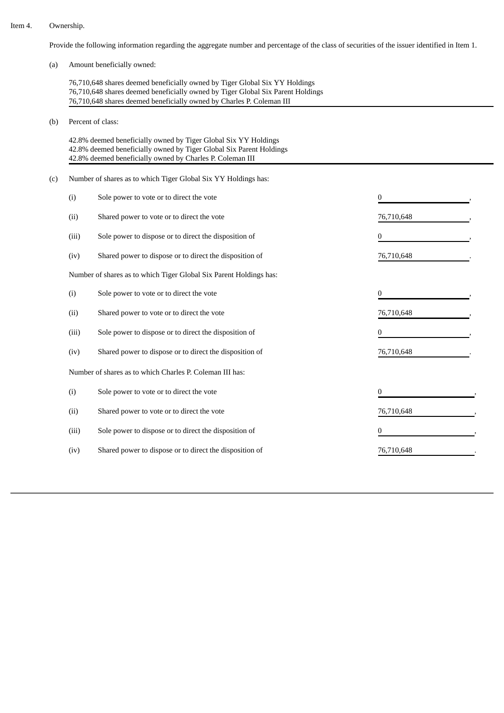#### Item 4. Ownership.

Provide the following information regarding the aggregate number and percentage of the class of securities of the issuer identified in Item 1.

(a) Amount beneficially owned:

76,710,648 shares deemed beneficially owned by Tiger Global Six YY Holdings 76,710,648 shares deemed beneficially owned by Tiger Global Six Parent Holdings 76,710,648 shares deemed beneficially owned by Charles P. Coleman III

(b) Percent of class:

42.8% deemed beneficially owned by Tiger Global Six YY Holdings 42.8% deemed beneficially owned by Tiger Global Six Parent Holdings 42.8% deemed beneficially owned by Charles P. Coleman III

(c) Number of shares as to which Tiger Global Six YY Holdings has:

| (i)                                                                | Sole power to vote or to direct the vote                |            |  |  |  |
|--------------------------------------------------------------------|---------------------------------------------------------|------------|--|--|--|
| (ii)                                                               | Shared power to vote or to direct the vote              | 76,710,648 |  |  |  |
| (iii)                                                              | Sole power to dispose or to direct the disposition of   | 0          |  |  |  |
| (iv)                                                               | Shared power to dispose or to direct the disposition of | 76,710,648 |  |  |  |
| Number of shares as to which Tiger Global Six Parent Holdings has: |                                                         |            |  |  |  |
| (i)                                                                | Sole power to vote or to direct the vote                | 0          |  |  |  |
| (ii)                                                               | Shared power to vote or to direct the vote              | 76,710,648 |  |  |  |
| (iii)                                                              | Sole power to dispose or to direct the disposition of   | 0          |  |  |  |
| (iv)                                                               | Shared power to dispose or to direct the disposition of | 76,710,648 |  |  |  |
| Number of shares as to which Charles P. Coleman III has:           |                                                         |            |  |  |  |
| (i)                                                                | Sole power to vote or to direct the vote                | 0          |  |  |  |
| (ii)                                                               | Shared power to vote or to direct the vote              | 76,710,648 |  |  |  |
| (iii)                                                              | Sole power to dispose or to direct the disposition of   | 0          |  |  |  |
| (iv)                                                               | Shared power to dispose or to direct the disposition of | 76,710,648 |  |  |  |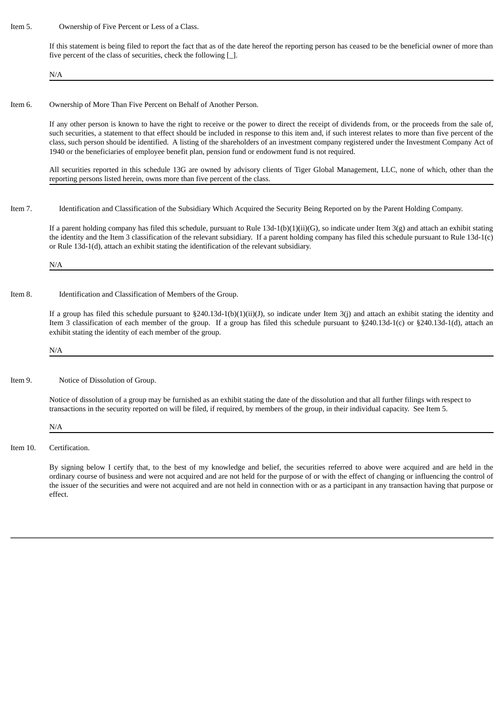Item 5. Ownership of Five Percent or Less of a Class.

If this statement is being filed to report the fact that as of the date hereof the reporting person has ceased to be the beneficial owner of more than five percent of the class of securities, check the following [\_].

N/A

### Item 6. Ownership of More Than Five Percent on Behalf of Another Person.

If any other person is known to have the right to receive or the power to direct the receipt of dividends from, or the proceeds from the sale of, such securities, a statement to that effect should be included in response to this item and, if such interest relates to more than five percent of the class, such person should be identified. A listing of the shareholders of an investment company registered under the Investment Company Act of 1940 or the beneficiaries of employee benefit plan, pension fund or endowment fund is not required.

All securities reported in this schedule 13G are owned by advisory clients of Tiger Global Management, LLC, none of which, other than the reporting persons listed herein, owns more than five percent of the class.

Item 7. Identification and Classification of the Subsidiary Which Acquired the Security Being Reported on by the Parent Holding Company.

If a parent holding company has filed this schedule, pursuant to Rule 13d-1(b)(1)(ii)(G), so indicate under Item 3(g) and attach an exhibit stating the identity and the Item 3 classification of the relevant subsidiary. If a parent holding company has filed this schedule pursuant to Rule 13d-1(c) or Rule 13d-1(d), attach an exhibit stating the identification of the relevant subsidiary.

N/A

### Item 8. Identification and Classification of Members of the Group.

If a group has filed this schedule pursuant to §240.13d-1(b)(1)(ii)(J), so indicate under Item 3(j) and attach an exhibit stating the identity and Item 3 classification of each member of the group. If a group has filed this schedule pursuant to §240.13d-1(c) or §240.13d-1(d), attach an exhibit stating the identity of each member of the group.

N/A

Item 9. Notice of Dissolution of Group.

Notice of dissolution of a group may be furnished as an exhibit stating the date of the dissolution and that all further filings with respect to transactions in the security reported on will be filed, if required, by members of the group, in their individual capacity. See Item 5.

N/A

Item 10. Certification.

By signing below I certify that, to the best of my knowledge and belief, the securities referred to above were acquired and are held in the ordinary course of business and were not acquired and are not held for the purpose of or with the effect of changing or influencing the control of the issuer of the securities and were not acquired and are not held in connection with or as a participant in any transaction having that purpose or effect.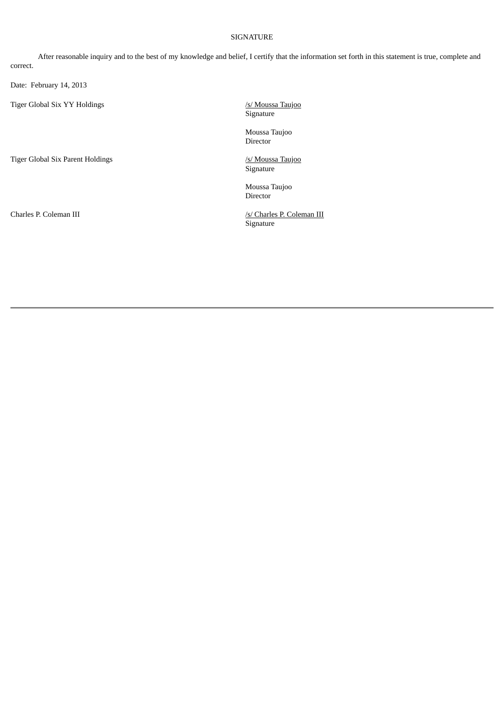# SIGNATURE

After reasonable inquiry and to the best of my knowledge and belief, I certify that the information set forth in this statement is true, complete and correct.

Date: February 14, 2013

Tiger Global Six YY Holdings */s/ Moussa Taujoo* 

Tiger Global Six Parent Holdings *15/ Moussa* Taujoo

Signature

Moussa Taujoo Director

Signature

Moussa Taujoo Director

Charles P. Coleman III /s/ Charles P. Coleman III Signature